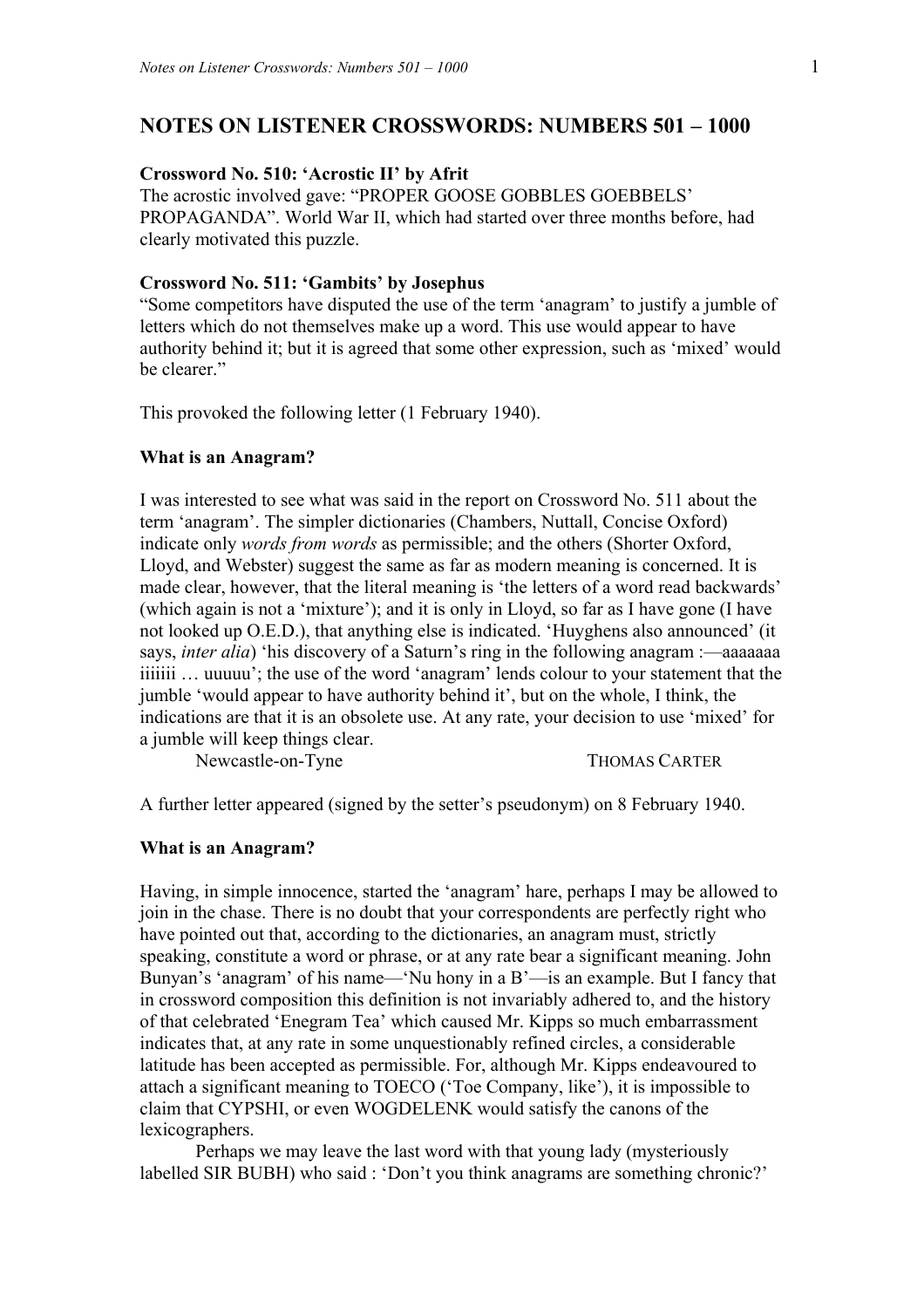# **NOTES ON LISTENER CROSSWORDS: NUMBERS 501 – 1000**

# **Crossword No. 510: 'Acrostic II' by Afrit**

The acrostic involved gave: "PROPER GOOSE GOBBLES GOEBBELS' PROPAGANDA". World War II, which had started over three months before, had clearly motivated this puzzle.

# **Crossword No. 511: 'Gambits' by Josephus**

"Some competitors have disputed the use of the term 'anagram' to justify a jumble of letters which do not themselves make up a word. This use would appear to have authority behind it; but it is agreed that some other expression, such as 'mixed' would be clearer."

This provoked the following letter (1 February 1940).

#### **What is an Anagram?**

I was interested to see what was said in the report on Crossword No. 511 about the term 'anagram'. The simpler dictionaries (Chambers, Nuttall, Concise Oxford) indicate only *words from words* as permissible; and the others (Shorter Oxford, Lloyd, and Webster) suggest the same as far as modern meaning is concerned. It is made clear, however, that the literal meaning is 'the letters of a word read backwards' (which again is not a 'mixture'); and it is only in Lloyd, so far as I have gone (I have not looked up O.E.D.), that anything else is indicated. 'Huyghens also announced' (it says, *inter alia*) 'his discovery of a Saturn's ring in the following anagram :—aaaaaaa iiiiiii … uuuuu'; the use of the word 'anagram' lends colour to your statement that the jumble 'would appear to have authority behind it', but on the whole, I think, the indications are that it is an obsolete use. At any rate, your decision to use 'mixed' for a jumble will keep things clear.

Newcastle-on-Tyne THOMAS CARTER

A further letter appeared (signed by the setter's pseudonym) on 8 February 1940.

# **What is an Anagram?**

Having, in simple innocence, started the 'anagram' hare, perhaps I may be allowed to join in the chase. There is no doubt that your correspondents are perfectly right who have pointed out that, according to the dictionaries, an anagram must, strictly speaking, constitute a word or phrase, or at any rate bear a significant meaning. John Bunyan's 'anagram' of his name—'Nu hony in a B'—is an example. But I fancy that in crossword composition this definition is not invariably adhered to, and the history of that celebrated 'Enegram Tea' which caused Mr. Kipps so much embarrassment indicates that, at any rate in some unquestionably refined circles, a considerable latitude has been accepted as permissible. For, although Mr. Kipps endeavoured to attach a significant meaning to TOECO ('Toe Company, like'), it is impossible to claim that CYPSHI, or even WOGDELENK would satisfy the canons of the lexicographers.

 Perhaps we may leave the last word with that young lady (mysteriously labelled SIR BUBH) who said : 'Don't you think anagrams are something chronic?'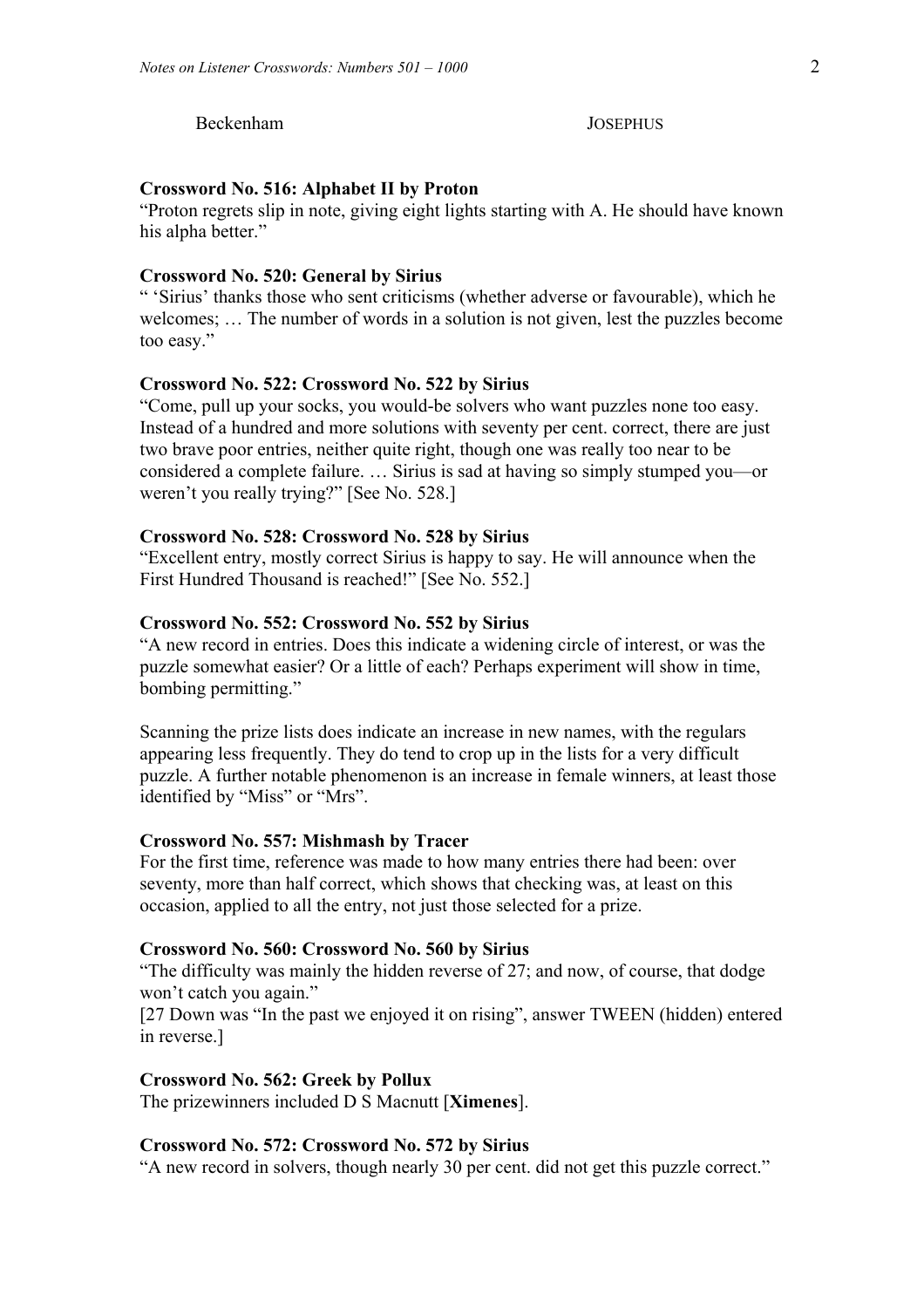Beckenham JOSEPHUS

# **Crossword No. 516: Alphabet II by Proton**

"Proton regrets slip in note, giving eight lights starting with A. He should have known his alpha better."

# **Crossword No. 520: General by Sirius**

" 'Sirius' thanks those who sent criticisms (whether adverse or favourable), which he welcomes; … The number of words in a solution is not given, lest the puzzles become too easy."

# **Crossword No. 522: Crossword No. 522 by Sirius**

"Come, pull up your socks, you would-be solvers who want puzzles none too easy. Instead of a hundred and more solutions with seventy per cent. correct, there are just two brave poor entries, neither quite right, though one was really too near to be considered a complete failure. … Sirius is sad at having so simply stumped you—or weren't you really trying?" [See No. 528.]

# **Crossword No. 528: Crossword No. 528 by Sirius**

"Excellent entry, mostly correct Sirius is happy to say. He will announce when the First Hundred Thousand is reached!" [See No. 552.]

# **Crossword No. 552: Crossword No. 552 by Sirius**

"A new record in entries. Does this indicate a widening circle of interest, or was the puzzle somewhat easier? Or a little of each? Perhaps experiment will show in time, bombing permitting."

Scanning the prize lists does indicate an increase in new names, with the regulars appearing less frequently. They do tend to crop up in the lists for a very difficult puzzle. A further notable phenomenon is an increase in female winners, at least those identified by "Miss" or "Mrs".

#### **Crossword No. 557: Mishmash by Tracer**

For the first time, reference was made to how many entries there had been: over seventy, more than half correct, which shows that checking was, at least on this occasion, applied to all the entry, not just those selected for a prize.

# **Crossword No. 560: Crossword No. 560 by Sirius**

"The difficulty was mainly the hidden reverse of 27; and now, of course, that dodge won't catch you again."

[27 Down was "In the past we enjoyed it on rising", answer TWEEN (hidden) entered in reverse.]

# **Crossword No. 562: Greek by Pollux**

The prizewinners included D S Macnutt [**Ximenes**].

#### **Crossword No. 572: Crossword No. 572 by Sirius**

"A new record in solvers, though nearly 30 per cent. did not get this puzzle correct."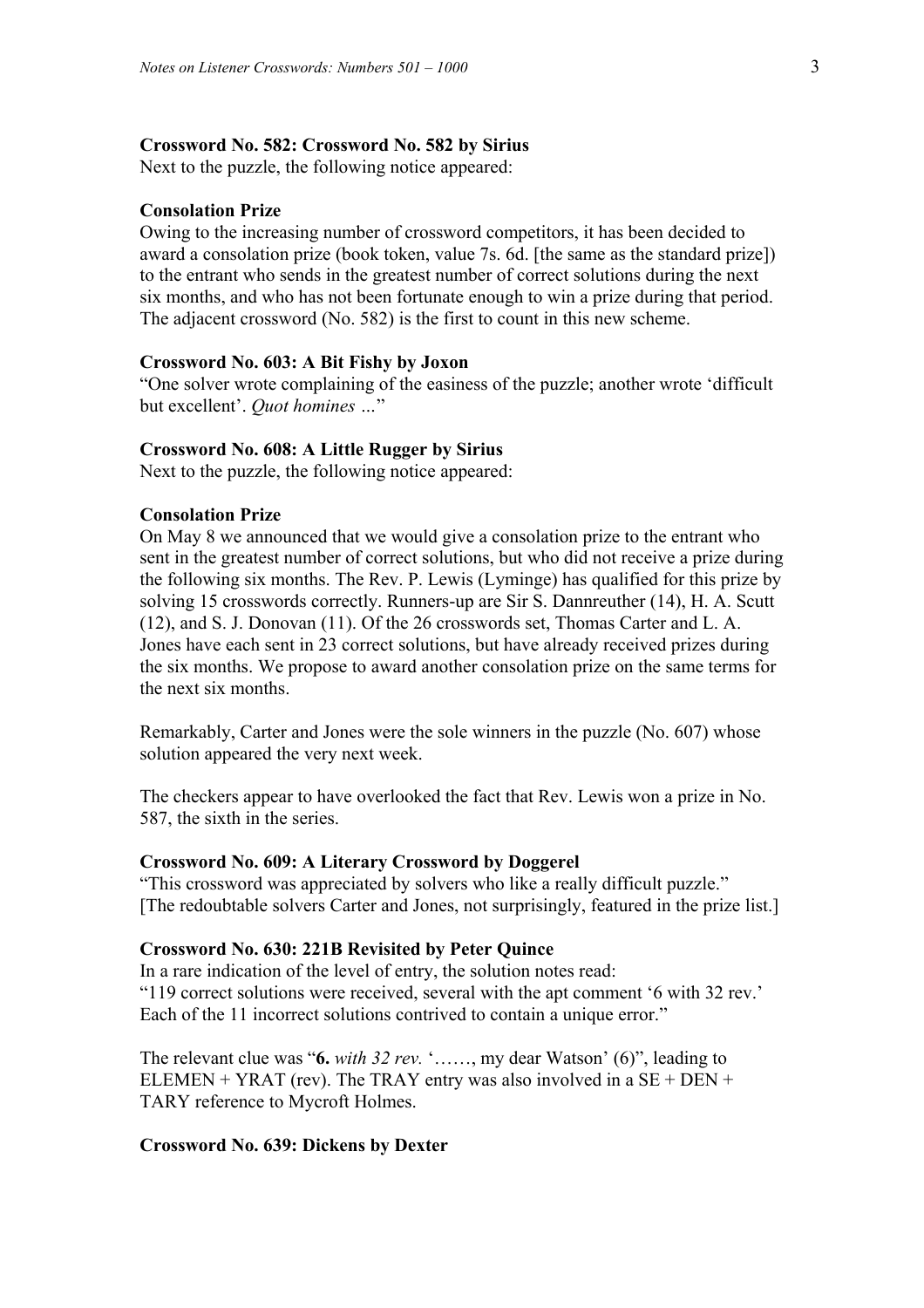# **Crossword No. 582: Crossword No. 582 by Sirius**

Next to the puzzle, the following notice appeared:

# **Consolation Prize**

Owing to the increasing number of crossword competitors, it has been decided to award a consolation prize (book token, value 7s. 6d. [the same as the standard prize]) to the entrant who sends in the greatest number of correct solutions during the next six months, and who has not been fortunate enough to win a prize during that period. The adjacent crossword (No. 582) is the first to count in this new scheme.

# **Crossword No. 603: A Bit Fishy by Joxon**

"One solver wrote complaining of the easiness of the puzzle; another wrote 'difficult but excellent'. *Quot homines …*"

#### **Crossword No. 608: A Little Rugger by Sirius**

Next to the puzzle, the following notice appeared:

# **Consolation Prize**

On May 8 we announced that we would give a consolation prize to the entrant who sent in the greatest number of correct solutions, but who did not receive a prize during the following six months. The Rev. P. Lewis (Lyminge) has qualified for this prize by solving 15 crosswords correctly. Runners-up are Sir S. Dannreuther (14), H. A. Scutt (12), and S. J. Donovan (11). Of the 26 crosswords set, Thomas Carter and L. A. Jones have each sent in 23 correct solutions, but have already received prizes during the six months. We propose to award another consolation prize on the same terms for the next six months.

Remarkably, Carter and Jones were the sole winners in the puzzle (No. 607) whose solution appeared the very next week.

The checkers appear to have overlooked the fact that Rev. Lewis won a prize in No. 587, the sixth in the series.

# **Crossword No. 609: A Literary Crossword by Doggerel**

"This crossword was appreciated by solvers who like a really difficult puzzle." [The redoubtable solvers Carter and Jones, not surprisingly, featured in the prize list.]

# **Crossword No. 630: 221B Revisited by Peter Quince**

In a rare indication of the level of entry, the solution notes read: "119 correct solutions were received, several with the apt comment '6 with 32 rev.' Each of the 11 incorrect solutions contrived to contain a unique error."

The relevant clue was "**6.** *with 32 rev.* '……, my dear Watson' (6)", leading to ELEMEN + YRAT (rev). The TRAY entry was also involved in a  $SE + DEN +$ TARY reference to Mycroft Holmes.

#### **Crossword No. 639: Dickens by Dexter**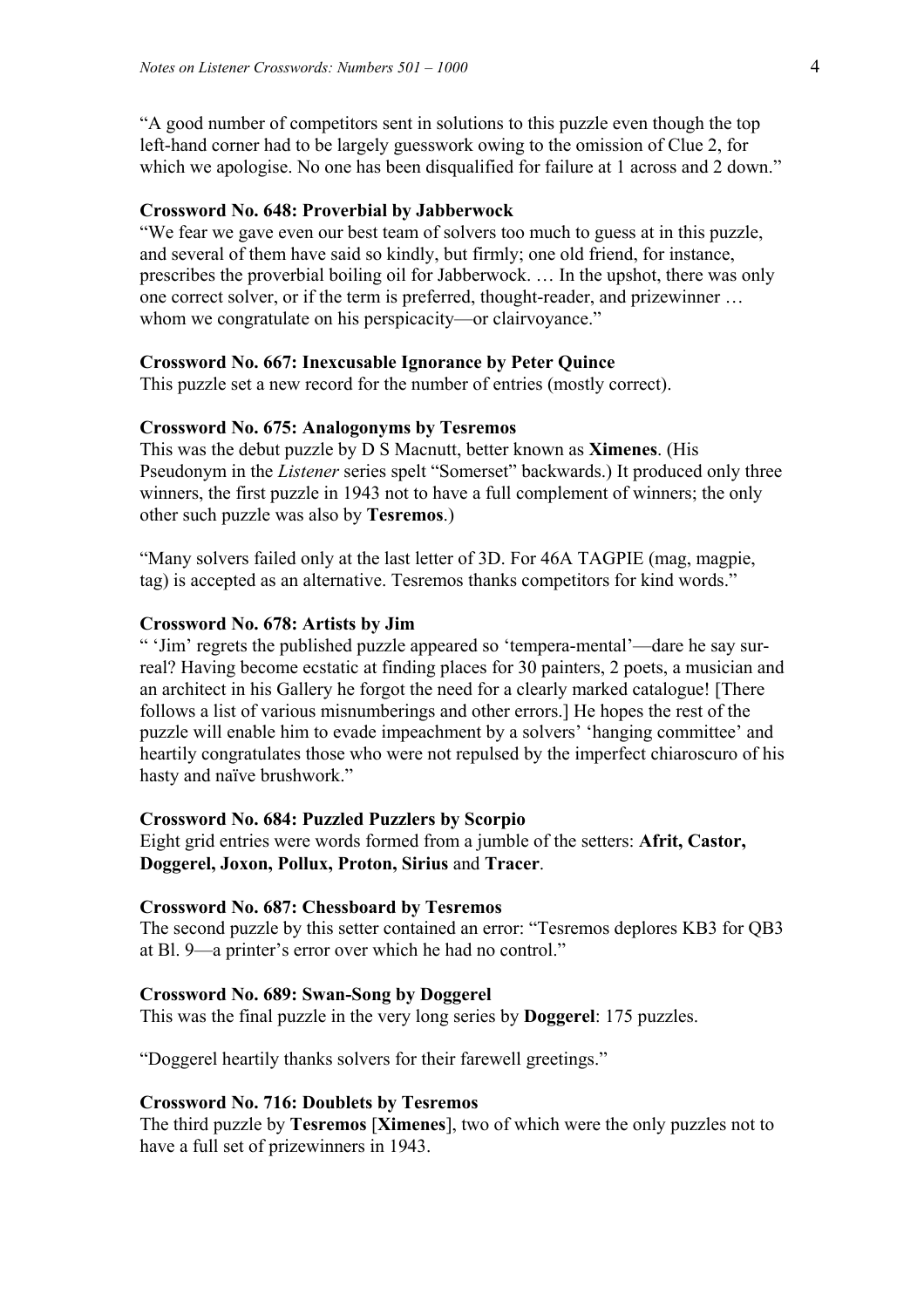"A good number of competitors sent in solutions to this puzzle even though the top left-hand corner had to be largely guesswork owing to the omission of Clue 2, for which we apologise. No one has been disqualified for failure at 1 across and 2 down."

# **Crossword No. 648: Proverbial by Jabberwock**

"We fear we gave even our best team of solvers too much to guess at in this puzzle, and several of them have said so kindly, but firmly; one old friend, for instance, prescribes the proverbial boiling oil for Jabberwock. … In the upshot, there was only one correct solver, or if the term is preferred, thought-reader, and prizewinner … whom we congratulate on his perspicacity—or clairvoyance."

# **Crossword No. 667: Inexcusable Ignorance by Peter Quince**

This puzzle set a new record for the number of entries (mostly correct).

# **Crossword No. 675: Analogonyms by Tesremos**

This was the debut puzzle by D S Macnutt, better known as **Ximenes**. (His Pseudonym in the *Listener* series spelt "Somerset" backwards.) It produced only three winners, the first puzzle in 1943 not to have a full complement of winners; the only other such puzzle was also by **Tesremos**.)

"Many solvers failed only at the last letter of 3D. For 46A TAGPIE (mag, magpie, tag) is accepted as an alternative. Tesremos thanks competitors for kind words."

# **Crossword No. 678: Artists by Jim**

" 'Jim' regrets the published puzzle appeared so 'tempera-mental'—dare he say surreal? Having become ecstatic at finding places for 30 painters, 2 poets, a musician and an architect in his Gallery he forgot the need for a clearly marked catalogue! [There follows a list of various misnumberings and other errors.] He hopes the rest of the puzzle will enable him to evade impeachment by a solvers' 'hanging committee' and heartily congratulates those who were not repulsed by the imperfect chiaroscuro of his hasty and naïve brushwork."

#### **Crossword No. 684: Puzzled Puzzlers by Scorpio**

Eight grid entries were words formed from a jumble of the setters: **Afrit, Castor, Doggerel, Joxon, Pollux, Proton, Sirius** and **Tracer**.

# **Crossword No. 687: Chessboard by Tesremos**

The second puzzle by this setter contained an error: "Tesremos deplores KB3 for QB3 at Bl. 9—a printer's error over which he had no control."

#### **Crossword No. 689: Swan-Song by Doggerel**

This was the final puzzle in the very long series by **Doggerel**: 175 puzzles.

"Doggerel heartily thanks solvers for their farewell greetings."

# **Crossword No. 716: Doublets by Tesremos**

The third puzzle by **Tesremos** [**Ximenes**], two of which were the only puzzles not to have a full set of prizewinners in 1943.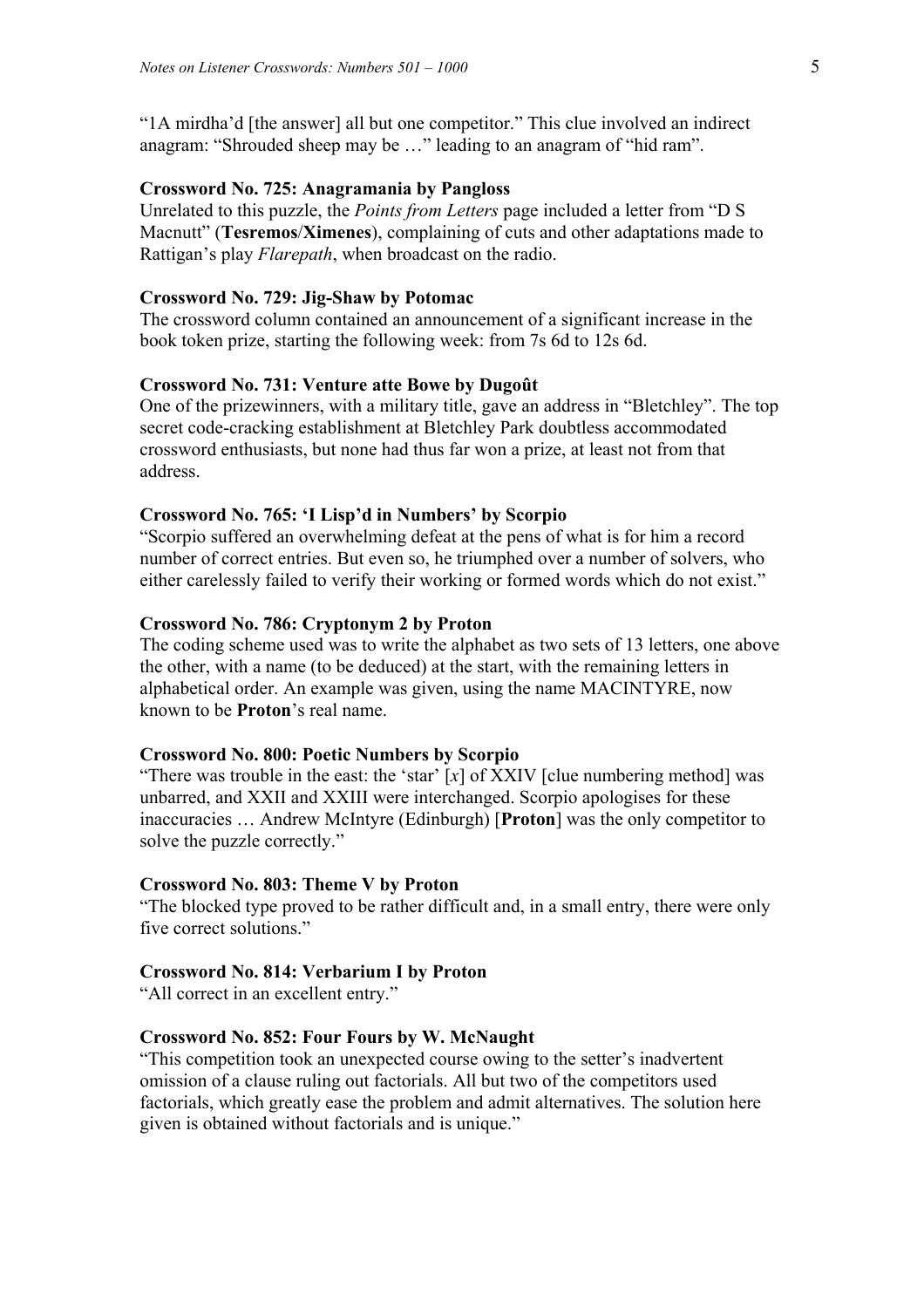"1A mirdha'd [the answer] all but one competitor." This clue involved an indirect anagram: "Shrouded sheep may be …" leading to an anagram of "hid ram".

# **Crossword No. 725: Anagramania by Pangloss**

Unrelated to this puzzle, the *Points from Letters* page included a letter from "D S Macnutt" (**Tesremos**/**Ximenes**), complaining of cuts and other adaptations made to Rattigan's play *Flarepath*, when broadcast on the radio.

# **Crossword No. 729: Jig-Shaw by Potomac**

The crossword column contained an announcement of a significant increase in the book token prize, starting the following week: from 7s 6d to 12s 6d.

# **Crossword No. 731: Venture atte Bowe by Dugoût**

One of the prizewinners, with a military title, gave an address in "Bletchley". The top secret code-cracking establishment at Bletchley Park doubtless accommodated crossword enthusiasts, but none had thus far won a prize, at least not from that address.

# **Crossword No. 765: 'I Lisp'd in Numbers' by Scorpio**

"Scorpio suffered an overwhelming defeat at the pens of what is for him a record number of correct entries. But even so, he triumphed over a number of solvers, who either carelessly failed to verify their working or formed words which do not exist."

# **Crossword No. 786: Cryptonym 2 by Proton**

The coding scheme used was to write the alphabet as two sets of 13 letters, one above the other, with a name (to be deduced) at the start, with the remaining letters in alphabetical order. An example was given, using the name MACINTYRE, now known to be **Proton**'s real name.

# **Crossword No. 800: Poetic Numbers by Scorpio**

"There was trouble in the east: the 'star' [*x*] of XXIV [clue numbering method] was unbarred, and XXII and XXIII were interchanged. Scorpio apologises for these inaccuracies … Andrew McIntyre (Edinburgh) [**Proton**] was the only competitor to solve the puzzle correctly."

#### **Crossword No. 803: Theme V by Proton**

"The blocked type proved to be rather difficult and, in a small entry, there were only five correct solutions."

# **Crossword No. 814: Verbarium I by Proton**

"All correct in an excellent entry."

# **Crossword No. 852: Four Fours by W. McNaught**

"This competition took an unexpected course owing to the setter's inadvertent omission of a clause ruling out factorials. All but two of the competitors used factorials, which greatly ease the problem and admit alternatives. The solution here given is obtained without factorials and is unique."